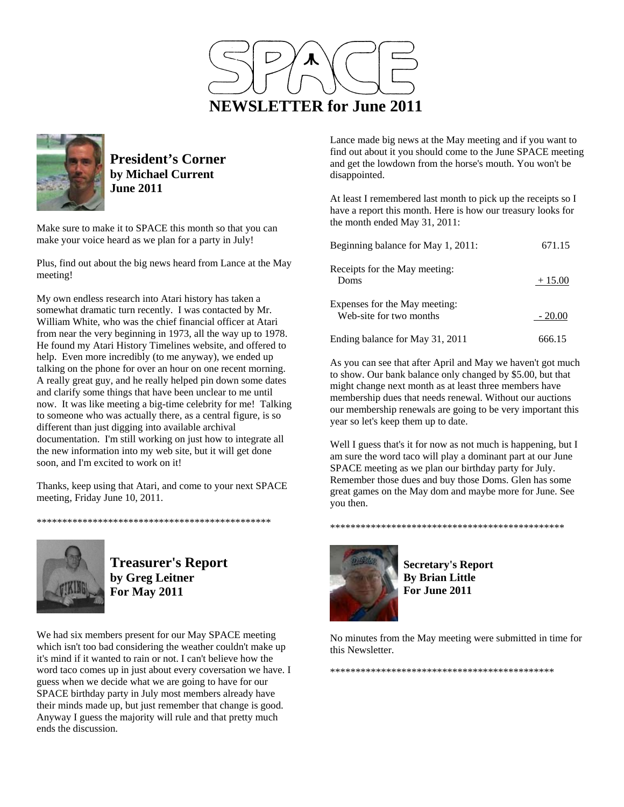



**President's Corner by Michael Current June 2011**

Make sure to make it to SPACE this month so that you can make your voice heard as we plan for a party in July!

Plus, find out about the big news heard from Lance at the May meeting!

My own endless research into Atari history has taken a somewhat dramatic turn recently. I was contacted by Mr. William White, who was the chief financial officer at Atari from near the very beginning in 1973, all the way up to 1978. He found my Atari History Timelines website, and offered to help. Even more incredibly (to me anyway), we ended up talking on the phone for over an hour on one recent morning. A really great guy, and he really helped pin down some dates and clarify some things that have been unclear to me until now. It was like meeting a big-time celebrity for me! Talking to someone who was actually there, as a central figure, is so different than just digging into available archival documentation. I'm still working on just how to integrate all the new information into my web site, but it will get done soon, and I'm excited to work on it!

Thanks, keep using that Atari, and come to your next SPACE meeting, Friday June 10, 2011.

\*\*\*\*\*\*\*\*\*\*\*\*\*\*\*\*\*\*\*\*\*\*\*\*\*\*\*\*\*\*\*\*\*\*\*\*\*\*\*\*\*\*\*\*\*\*



**Treasurer's Report by Greg Leitner For May 2011** 

We had six members present for our May SPACE meeting which isn't too bad considering the weather couldn't make up it's mind if it wanted to rain or not. I can't believe how the word taco comes up in just about every coversation we have. I guess when we decide what we are going to have for our SPACE birthday party in July most members already have their minds made up, but just remember that change is good. Anyway I guess the majority will rule and that pretty much ends the discussion.

Lance made big news at the May meeting and if you want to find out about it you should come to the June SPACE meeting and get the lowdown from the horse's mouth. You won't be disappointed.

At least I remembered last month to pick up the receipts so I have a report this month. Here is how our treasury looks for the month ended May 31, 2011:

| Beginning balance for May 1, 2011:                       | 671.15   |
|----------------------------------------------------------|----------|
| Receipts for the May meeting:<br>Doms                    | $+15.00$ |
| Expenses for the May meeting:<br>Web-site for two months | $-20.00$ |
| Ending balance for May 31, 2011                          | 666.15   |

As you can see that after April and May we haven't got much to show. Our bank balance only changed by \$5.00, but that might change next month as at least three members have membership dues that needs renewal. Without our auctions our membership renewals are going to be very important this year so let's keep them up to date.

Well I guess that's it for now as not much is happening, but I am sure the word taco will play a dominant part at our June SPACE meeting as we plan our birthday party for July. Remember those dues and buy those Doms. Glen has some great games on the May dom and maybe more for June. See you then.



**Secretary's Report By Brian Little For June 2011** 

\*\*\*\*\*\*\*\*\*\*\*\*\*\*\*\*\*\*\*\*\*\*\*\*\*\*\*\*\*\*\*\*\*\*\*\*\*\*\*\*\*\*\*\*\*\*

No minutes from the May meeting were submitted in time for this Newsletter.

\*\*\*\*\*\*\*\*\*\*\*\*\*\*\*\*\*\*\*\*\*\*\*\*\*\*\*\*\*\*\*\*\*\*\*\*\*\*\*\*\*\*\*\*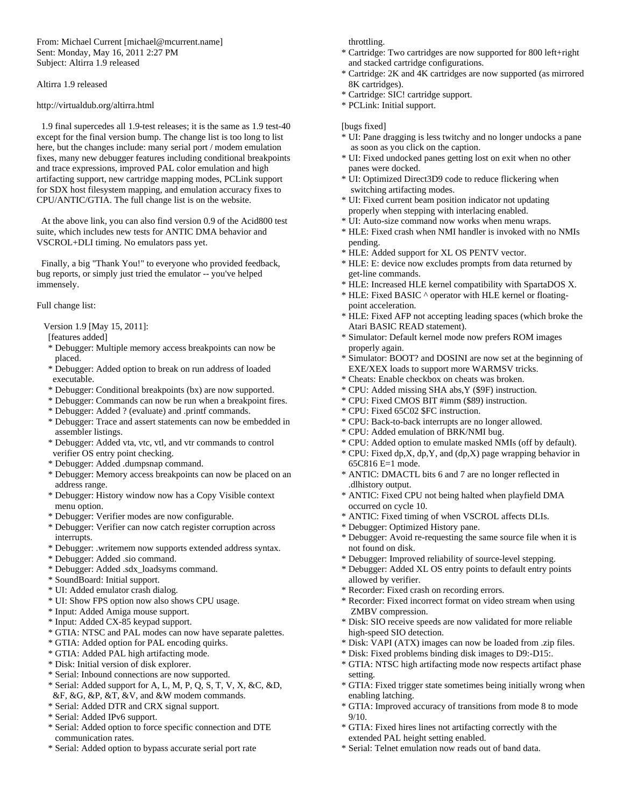From: Michael Current [michael@mcurrent.name] Sent: Monday, May 16, 2011 2:27 PM Subject: Altirra 1.9 released

### Altirra 1.9 released

## http://virtualdub.org/altirra.html

 1.9 final supercedes all 1.9-test releases; it is the same as 1.9 test-40 except for the final version bump. The change list is too long to list here, but the changes include: many serial port / modem emulation fixes, many new debugger features including conditional breakpoints and trace expressions, improved PAL color emulation and high artifacting support, new cartridge mapping modes, PCLink support for SDX host filesystem mapping, and emulation accuracy fixes to CPU/ANTIC/GTIA. The full change list is on the website.

 At the above link, you can also find version 0.9 of the Acid800 test suite, which includes new tests for ANTIC DMA behavior and VSCROL+DLI timing. No emulators pass yet.

 Finally, a big "Thank You!" to everyone who provided feedback, bug reports, or simply just tried the emulator -- you've helped immensely.

Full change list:

- Version 1.9 [May 15, 2011]:
- [features added]
- \* Debugger: Multiple memory access breakpoints can now be placed.
- \* Debugger: Added option to break on run address of loaded executable.
- \* Debugger: Conditional breakpoints (bx) are now supported.
- \* Debugger: Commands can now be run when a breakpoint fires.
- \* Debugger: Added ? (evaluate) and .printf commands.
- \* Debugger: Trace and assert statements can now be embedded in assembler listings.
- \* Debugger: Added vta, vtc, vtl, and vtr commands to control verifier OS entry point checking.
- \* Debugger: Added .dumpsnap command.
- \* Debugger: Memory access breakpoints can now be placed on an address range.
- \* Debugger: History window now has a Copy Visible context menu option.
- \* Debugger: Verifier modes are now configurable.
- \* Debugger: Verifier can now catch register corruption across interrupts.
- \* Debugger: .writemem now supports extended address syntax.
- \* Debugger: Added .sio command.
- \* Debugger: Added .sdx\_loadsyms command.
- \* SoundBoard: Initial support.
- \* UI: Added emulator crash dialog.
- \* UI: Show FPS option now also shows CPU usage.
- \* Input: Added Amiga mouse support.
- \* Input: Added CX-85 keypad support.
- \* GTIA: NTSC and PAL modes can now have separate palettes.
- \* GTIA: Added option for PAL encoding quirks.
- \* GTIA: Added PAL high artifacting mode.
- \* Disk: Initial version of disk explorer.
- \* Serial: Inbound connections are now supported.
- \* Serial: Added support for A, L, M, P, Q, S, T, V, X, &C, &D, &F, &G, &P, &T, &V, and &W modem commands.
- \* Serial: Added DTR and CRX signal support.
- \* Serial: Added IPv6 support.
- \* Serial: Added option to force specific connection and DTE communication rates.
- \* Serial: Added option to bypass accurate serial port rate

throttling.

- \* Cartridge: Two cartridges are now supported for 800 left+right and stacked cartridge configurations.
- \* Cartridge: 2K and 4K cartridges are now supported (as mirrored 8K cartridges).
- \* Cartridge: SIC! cartridge support.
- \* PCLink: Initial support.

# [bugs fixed]

- \* UI: Pane dragging is less twitchy and no longer undocks a pane as soon as you click on the caption.
- \* UI: Fixed undocked panes getting lost on exit when no other panes were docked.
- \* UI: Optimized Direct3D9 code to reduce flickering when switching artifacting modes.
- \* UI: Fixed current beam position indicator not updating properly when stepping with interlacing enabled.
- \* UI: Auto-size command now works when menu wraps.
- \* HLE: Fixed crash when NMI handler is invoked with no NMIs pending.
- \* HLE: Added support for XL OS PENTV vector.
- \* HLE: E: device now excludes prompts from data returned by get-line commands.
- \* HLE: Increased HLE kernel compatibility with SpartaDOS X.
- \* HLE: Fixed BASIC ^ operator with HLE kernel or floating point acceleration.
- \* HLE: Fixed AFP not accepting leading spaces (which broke the Atari BASIC READ statement).
- \* Simulator: Default kernel mode now prefers ROM images properly again.
- \* Simulator: BOOT? and DOSINI are now set at the beginning of EXE/XEX loads to support more WARMSV tricks.
- \* Cheats: Enable checkbox on cheats was broken.
- \* CPU: Added missing SHA abs,Y (\$9F) instruction.
- \* CPU: Fixed CMOS BIT #imm (\$89) instruction.
- \* CPU: Fixed 65C02 \$FC instruction.
- \* CPU: Back-to-back interrupts are no longer allowed.
- \* CPU: Added emulation of BRK/NMI bug.
- \* CPU: Added option to emulate masked NMIs (off by default).
- \* CPU: Fixed dp,X, dp,Y, and (dp,X) page wrapping behavior in 65C816 E=1 mode.
- \* ANTIC: DMACTL bits 6 and 7 are no longer reflected in .dlhistory output.
- \* ANTIC: Fixed CPU not being halted when playfield DMA occurred on cycle 10.
- \* ANTIC: Fixed timing of when VSCROL affects DLIs.
- \* Debugger: Optimized History pane.
- \* Debugger: Avoid re-requesting the same source file when it is not found on disk.
- \* Debugger: Improved reliability of source-level stepping.
- \* Debugger: Added XL OS entry points to default entry points allowed by verifier.
- \* Recorder: Fixed crash on recording errors.
- \* Recorder: Fixed incorrect format on video stream when using ZMBV compression.
- \* Disk: SIO receive speeds are now validated for more reliable high-speed SIO detection.
- \* Disk: VAPI (ATX) images can now be loaded from .zip files.
- \* Disk: Fixed problems binding disk images to D9:-D15:.
- \* GTIA: NTSC high artifacting mode now respects artifact phase setting.
- \* GTIA: Fixed trigger state sometimes being initially wrong when enabling latching.
- \* GTIA: Improved accuracy of transitions from mode 8 to mode 9/10.
- \* GTIA: Fixed hires lines not artifacting correctly with the extended PAL height setting enabled.
- \* Serial: Telnet emulation now reads out of band data.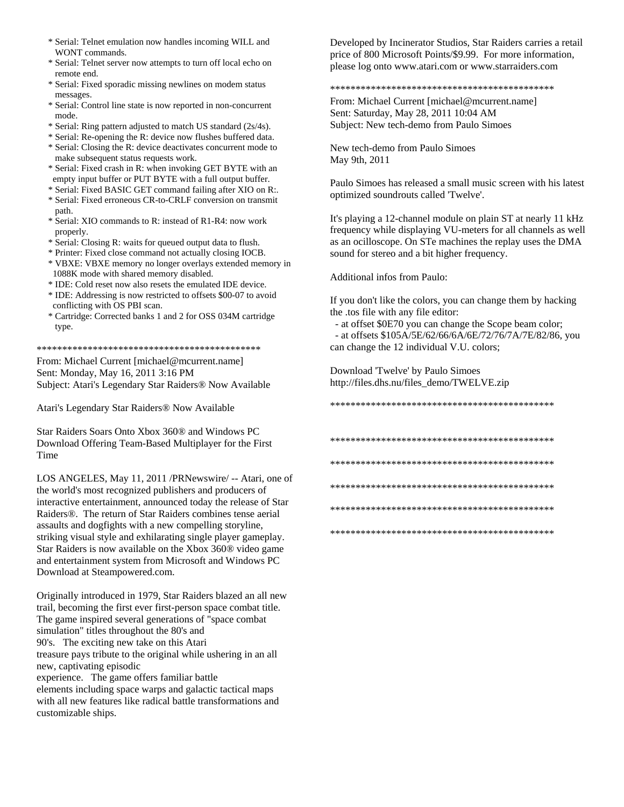- \* Serial: Telnet emulation now handles incoming WILL and WONT commands.
- \* Serial: Telnet server now attempts to turn off local echo on remote end.
- \* Serial: Fixed sporadic missing newlines on modem status messages.
- \* Serial: Control line state is now reported in non-concurrent mode.
- \* Serial: Ring pattern adjusted to match US standard (2s/4s).
- \* Serial: Re-opening the R: device now flushes buffered data.
- \* Serial: Closing the R: device deactivates concurrent mode to make subsequent status requests work.
- \* Serial: Fixed crash in R: when invoking GET BYTE with an empty input buffer or PUT BYTE with a full output buffer.
- \* Serial: Fixed BASIC GET command failing after XIO on R:.
- \* Serial: Fixed erroneous CR-to-CRLF conversion on transmit path.
- \* Serial: XIO commands to R: instead of R1-R4: now work properly.
- \* Serial: Closing R: waits for queued output data to flush.
- \* Printer: Fixed close command not actually closing IOCB.
- \* VBXE: VBXE memory no longer overlays extended memory in 1088K mode with shared memory disabled.
- \* IDE: Cold reset now also resets the emulated IDE device.
- \* IDE: Addressing is now restricted to offsets \$00-07 to avoid conflicting with OS PBI scan.
- \* Cartridge: Corrected banks 1 and 2 for OSS 034M cartridge type.

\*\*\*\*\*\*\*\*\*\*\*\*\*\*\*\*\*\*\*\*\*\*\*\*\*\*\*\*\*\*\*\*\*\*\*\*\*\*\*\*\*\*\*\*

From: Michael Current [michael@mcurrent.name] Sent: Monday, May 16, 2011 3:16 PM Subject: Atari's Legendary Star Raiders® Now Available

Atari's Legendary Star Raiders® Now Available

Star Raiders Soars Onto Xbox 360® and Windows PC Download Offering Team-Based Multiplayer for the First Time

LOS ANGELES, May 11, 2011 /PRNewswire/ -- Atari, one of the world's most recognized publishers and producers of interactive entertainment, announced today the release of Star Raiders®. The return of Star Raiders combines tense aerial assaults and dogfights with a new compelling storyline, striking visual style and exhilarating single player gameplay. Star Raiders is now available on the Xbox 360® video game and entertainment system from Microsoft and Windows PC Download at Steampowered.com.

Originally introduced in 1979, Star Raiders blazed an all new trail, becoming the first ever first-person space combat title. The game inspired several generations of "space combat simulation" titles throughout the 80's and 90's. The exciting new take on this Atari treasure pays tribute to the original while ushering in an all new, captivating episodic experience. The game offers familiar battle elements including space warps and galactic tactical maps with all new features like radical battle transformations and customizable ships.

Developed by Incinerator Studios, Star Raiders carries a retail price of 800 Microsoft Points/\$9.99. For more information, please log onto www.atari.com or www.starraiders.com

#### \*\*\*\*\*\*\*\*\*\*\*\*\*\*\*\*\*\*\*\*\*\*\*\*\*\*\*\*\*\*\*\*\*\*\*\*\*\*\*\*\*\*\*\*

From: Michael Current [michael@mcurrent.name] Sent: Saturday, May 28, 2011 10:04 AM Subject: New tech-demo from Paulo Simoes

New tech-demo from Paulo Simoes May 9th, 2011

Paulo Simoes has released a small music screen with his latest optimized soundrouts called 'Twelve'.

It's playing a 12-channel module on plain ST at nearly 11 kHz frequency while displaying VU-meters for all channels as well as an ocilloscope. On STe machines the replay uses the DMA sound for stereo and a bit higher frequency.

Additional infos from Paulo:

If you don't like the colors, you can change them by hacking the .tos file with any file editor:

 - at offset \$0E70 you can change the Scope beam color; - at offsets \$105A/5E/62/66/6A/6E/72/76/7A/7E/82/86, you can change the 12 individual V.U. colors;

Download 'Twelve' by Paulo Simoes http://files.dhs.nu/files\_demo/TWELVE.zip

\*\*\*\*\*\*\*\*\*\*\*\*\*\*\*\*\*\*\*\*\*\*\*\*\*\*\*\*\*\*\*\*\*\*\*\*\*\*\*\*\*\*\*\*